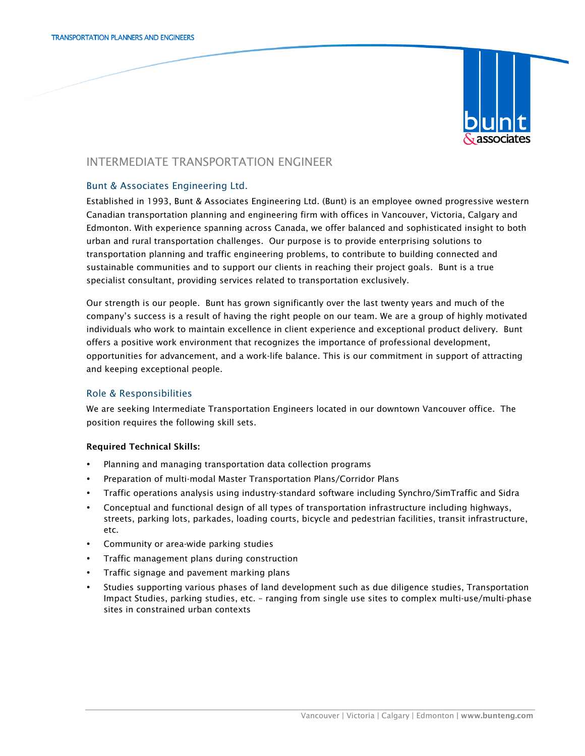

# INTERMEDIATE TRANSPORTATION ENGINEER

# Bunt & Associates Engineering Ltd.

Established in 1993, Bunt & Associates Engineering Ltd. (Bunt) is an employee owned progressive western Canadian transportation planning and engineering firm with offices in Vancouver, Victoria, Calgary and Edmonton. With experience spanning across Canada, we offer balanced and sophisticated insight to both urban and rural transportation challenges. Our purpose is to provide enterprising solutions to transportation planning and traffic engineering problems, to contribute to building connected and sustainable communities and to support our clients in reaching their project goals. Bunt is a true specialist consultant, providing services related to transportation exclusively.

Our strength is our people. Bunt has grown significantly over the last twenty years and much of the company's success is a result of having the right people on our team. We are a group of highly motivated individuals who work to maintain excellence in client experience and exceptional product delivery. Bunt offers a positive work environment that recognizes the importance of professional development, opportunities for advancement, and a work-life balance. This is our commitment in support of attracting and keeping exceptional people.

# Role & Responsibilities

We are seeking Intermediate Transportation Engineers located in our downtown Vancouver office. The position requires the following skill sets.

# Required Technical Skills:

- Planning and managing transportation data collection programs
- Preparation of multi-modal Master Transportation Plans/Corridor Plans
- Traffic operations analysis using industry-standard software including Synchro/SimTraffic and Sidra
- Conceptual and functional design of all types of transportation infrastructure including highways, streets, parking lots, parkades, loading courts, bicycle and pedestrian facilities, transit infrastructure, etc.
- Community or area-wide parking studies
- Traffic management plans during construction
- Traffic signage and pavement marking plans
- Studies supporting various phases of land development such as due diligence studies, Transportation Impact Studies, parking studies, etc. – ranging from single use sites to complex multi-use/multi-phase sites in constrained urban contexts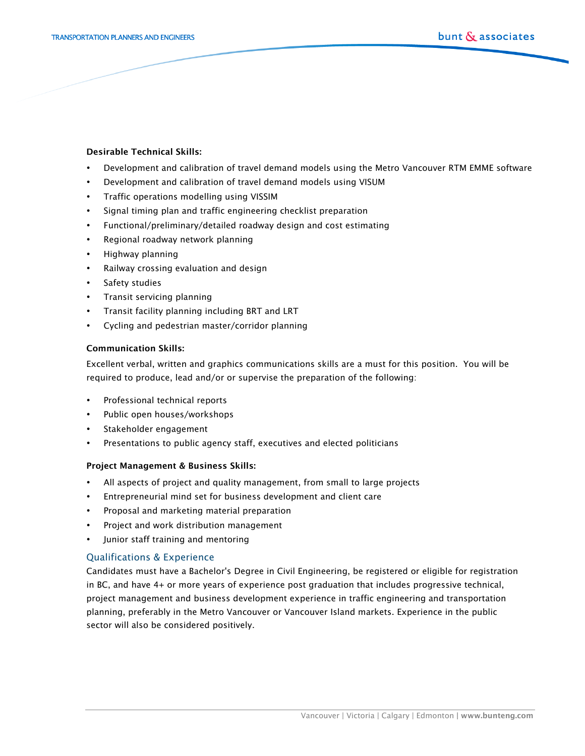#### Desirable Technical Skills:

- Development and calibration of travel demand models using the Metro Vancouver RTM EMME software
- Development and calibration of travel demand models using VISUM
- Traffic operations modelling using VISSIM
- Signal timing plan and traffic engineering checklist preparation
- Functional/preliminary/detailed roadway design and cost estimating
- Regional roadway network planning
- Highway planning
- Railway crossing evaluation and design
- Safety studies
- Transit servicing planning
- Transit facility planning including BRT and LRT
- Cycling and pedestrian master/corridor planning

### Communication Skills:

Excellent verbal, written and graphics communications skills are a must for this position. You will be required to produce, lead and/or or supervise the preparation of the following:

- Professional technical reports
- Public open houses/workshops
- Stakeholder engagement
- Presentations to public agency staff, executives and elected politicians

#### Project Management & Business Skills:

- All aspects of project and quality management, from small to large projects
- Entrepreneurial mind set for business development and client care
- Proposal and marketing material preparation
- Project and work distribution management
- Junior staff training and mentoring

# Qualifications & Experience

Candidates must have a Bachelor's Degree in Civil Engineering, be registered or eligible for registration in BC, and have 4+ or more years of experience post graduation that includes progressive technical, project management and business development experience in traffic engineering and transportation planning, preferably in the Metro Vancouver or Vancouver Island markets. Experience in the public sector will also be considered positively.